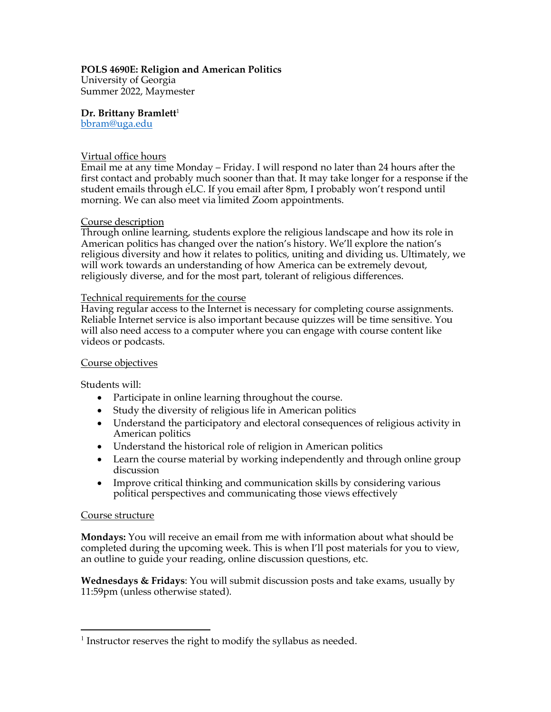## **POLS 4690E: Religion and American Politics**

University of Georgia Summer 2022, Maymester

**Dr. Brittany Bramlett**<sup>1</sup>

bbram@uga.edu

### Virtual office hours

Email me at any time Monday – Friday. I will respond no later than 24 hours after the first contact and probably much sooner than that. It may take longer for a response if the student emails through eLC. If you email after 8pm, I probably won't respond until morning. We can also meet via limited Zoom appointments.

### Course description

Through online learning, students explore the religious landscape and how its role in American politics has changed over the nation's history. We'll explore the nation's religious diversity and how it relates to politics, uniting and dividing us. Ultimately, we will work towards an understanding of how America can be extremely devout, religiously diverse, and for the most part, tolerant of religious differences.

### Technical requirements for the course

Having regular access to the Internet is necessary for completing course assignments. Reliable Internet service is also important because quizzes will be time sensitive. You will also need access to a computer where you can engage with course content like videos or podcasts.

### Course objectives

Students will:

- Participate in online learning throughout the course.
- Study the diversity of religious life in American politics
- Understand the participatory and electoral consequences of religious activity in American politics
- Understand the historical role of religion in American politics
- Learn the course material by working independently and through online group discussion
- Improve critical thinking and communication skills by considering various political perspectives and communicating those views effectively

### Course structure

**Mondays:** You will receive an email from me with information about what should be completed during the upcoming week. This is when I'll post materials for you to view, an outline to guide your reading, online discussion questions, etc.

**Wednesdays & Fridays**: You will submit discussion posts and take exams, usually by 11:59pm (unless otherwise stated).

<sup>&</sup>lt;sup>1</sup> Instructor reserves the right to modify the syllabus as needed.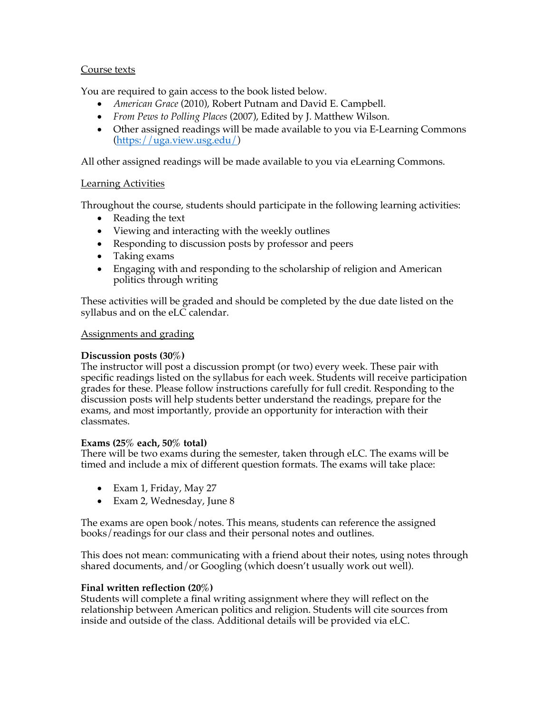## Course texts

You are required to gain access to the book listed below.

- *American Grace* (2010), Robert Putnam and David E. Campbell.
- *From Pews to Polling Places* (2007), Edited by J. Matthew Wilson.
- Other assigned readings will be made available to you via E-Learning Commons (https://uga.view.usg.edu/)

All other assigned readings will be made available to you via eLearning Commons.

## Learning Activities

Throughout the course, students should participate in the following learning activities:

- Reading the text
- Viewing and interacting with the weekly outlines
- Responding to discussion posts by professor and peers
- Taking exams
- Engaging with and responding to the scholarship of religion and American politics through writing

These activities will be graded and should be completed by the due date listed on the syllabus and on the  $eL\tilde{C}$  calendar.

### Assignments and grading

## **Discussion posts (30%)**

The instructor will post a discussion prompt (or two) every week. These pair with specific readings listed on the syllabus for each week. Students will receive participation grades for these. Please follow instructions carefully for full credit. Responding to the discussion posts will help students better understand the readings, prepare for the exams, and most importantly, provide an opportunity for interaction with their classmates.

### **Exams (25% each, 50% total)**

There will be two exams during the semester, taken through eLC. The exams will be timed and include a mix of different question formats. The exams will take place:

- Exam 1, Friday, May 27
- Exam 2, Wednesday, June 8

The exams are open book/notes. This means, students can reference the assigned books/readings for our class and their personal notes and outlines.

This does not mean: communicating with a friend about their notes, using notes through shared documents, and/or Googling (which doesn't usually work out well).

### **Final written reflection (20%)**

Students will complete a final writing assignment where they will reflect on the relationship between American politics and religion. Students will cite sources from inside and outside of the class. Additional details will be provided via eLC.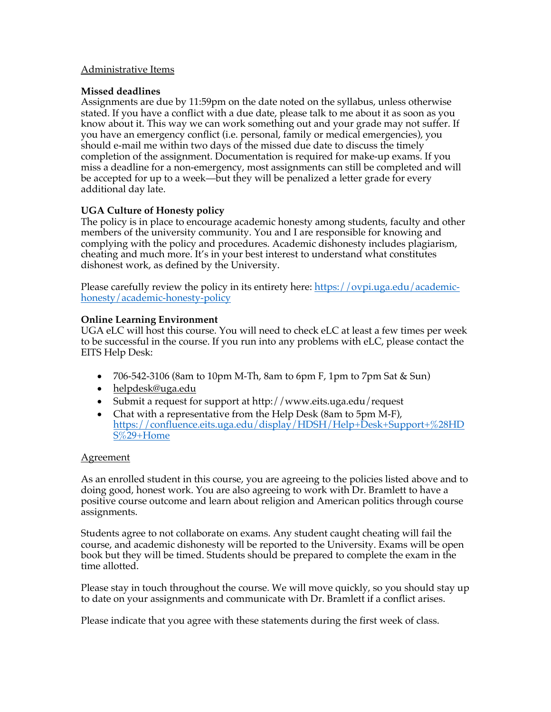### Administrative Items

### **Missed deadlines**

Assignments are due by 11:59pm on the date noted on the syllabus, unless otherwise stated. If you have a conflict with a due date, please talk to me about it as soon as you know about it. This way we can work something out and your grade may not suffer. If you have an emergency conflict (i.e. personal, family or medical emergencies), you should e-mail me within two days of the missed due date to discuss the timely completion of the assignment. Documentation is required for make-up exams. If you miss a deadline for a non-emergency, most assignments can still be completed and will be accepted for up to a week—but they will be penalized a letter grade for every additional day late.

## **UGA Culture of Honesty policy**

The policy is in place to encourage academic honesty among students, faculty and other members of the university community. You and I are responsible for knowing and complying with the policy and procedures. Academic dishonesty includes plagiarism, cheating and much more. It's in your best interest to understand what constitutes dishonest work, as defined by the University.

Please carefully review the policy in its entirety here: https://ovpi.uga.edu/academichonesty/academic-honesty-policy

## **Online Learning Environment**

UGA eLC will host this course. You will need to check eLC at least a few times per week to be successful in the course. If you run into any problems with eLC, please contact the EITS Help Desk:

- $706-542-3106$  (8am to 10pm M-Th, 8am to 6pm F, 1pm to 7pm Sat & Sun)
- helpdesk@uga.edu
- Submit a request for support at http://www.eits.uga.edu/request
- Chat with a representative from the Help Desk (8am to 5pm M-F), https://confluence.eits.uga.edu/display/HDSH/Help+Desk+Support+%28HD  $S\sqrt{29}$ +Home

## Agreement

As an enrolled student in this course, you are agreeing to the policies listed above and to doing good, honest work. You are also agreeing to work with Dr. Bramlett to have a positive course outcome and learn about religion and American politics through course assignments.

Students agree to not collaborate on exams. Any student caught cheating will fail the course, and academic dishonesty will be reported to the University. Exams will be open book but they will be timed. Students should be prepared to complete the exam in the time allotted.

Please stay in touch throughout the course. We will move quickly, so you should stay up to date on your assignments and communicate with Dr. Bramlett if a conflict arises.

Please indicate that you agree with these statements during the first week of class.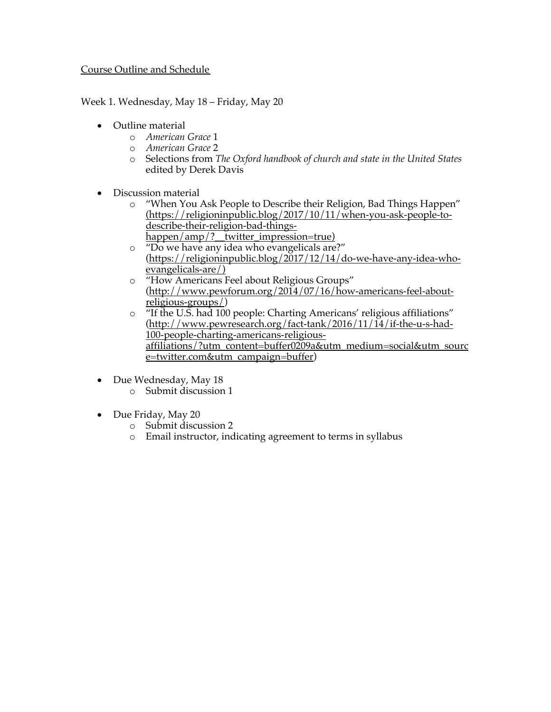Course Outline and Schedule

Week 1. Wednesday, May 18 – Friday, May 20

- Outline material
	- o *American Grace* 1
	- o *American Grace* 2
	- o Selections from *The Oxford handbook of church and state in the United States*  edited by Derek Davis
- Discussion material
	- o "When You Ask People to Describe their Religion, Bad Things Happen" (https://religioninpublic.blog/2017/10/11/when-you-ask-people-todescribe-their-religion-bad-things
		- happen/amp/? twitter\_impression=true)
	- o "Do we have any idea who evangelicals are?" (https://religioninpublic.blog/2017/12/14/do-we-have-any-idea-whoevangelicals-are/)
	- o "How Americans Feel about Religious Groups" (http://www.pewforum.org/2014/07/16/how-americans-feel-aboutreligious-groups/)
	- o "If the U.S. had 100 people: Charting Americans' religious affiliations" (http://www.pewresearch.org/fact-tank/2016/11/14/if-the-u-s-had-100-people-charting-americans-religiousaffiliations/?utm\_content=buffer0209a&utm\_medium=social&utm\_sourc e=twitter.com&utm\_campaign=buffer)
- Due Wednesday, May 18
	- o Submit discussion 1
- Due Friday, May 20
	- o Submit discussion 2
	- o Email instructor, indicating agreement to terms in syllabus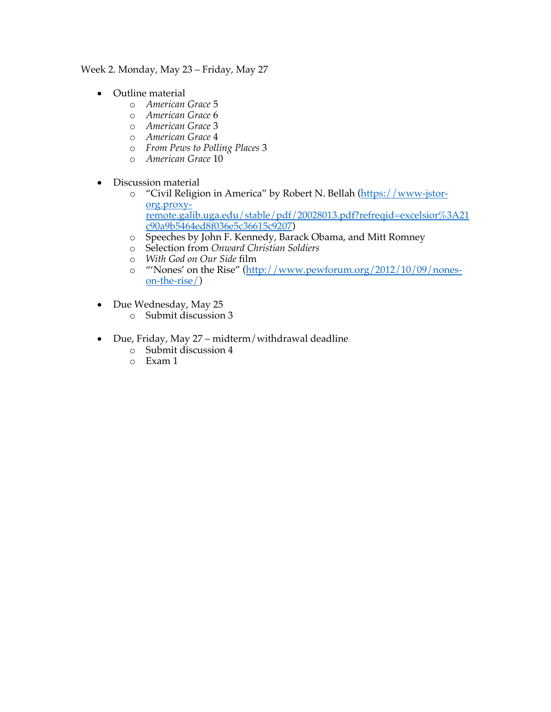Week 2. Monday, May 23 – Friday, May 27

- Outline material
	- o *American Grace* 5
	- o *American Grace* 6
	- o *American Grace* 3
	- o *American Grace* 4
	- o *From Pews to Polling Places* 3
	- o *American Grace* 10
- Discussion material
	- o "Civil Religion in America" by Robert N. Bellah (https://www-jstororg.proxyremote.galib.uga.edu/stable/pdf/20028013.pdf?refreqid=excelsior%3A21 c90a9b5464ed8f036e5c36615c9207)
	- o Speeches by John F. Kennedy, Barack Obama, and Mitt Romney
	- o Selection from *Onward Christian Soldiers*
	- o *With God on Our Side* film
	- o "'Nones' on the Rise" (http://www.pewforum.org/2012/10/09/noneson-the-rise/)
- Due Wednesday, May 25
	- o Submit discussion 3
- Due, Friday, May 27 midterm/withdrawal deadline
	- o Submit discussion 4
	- o Exam 1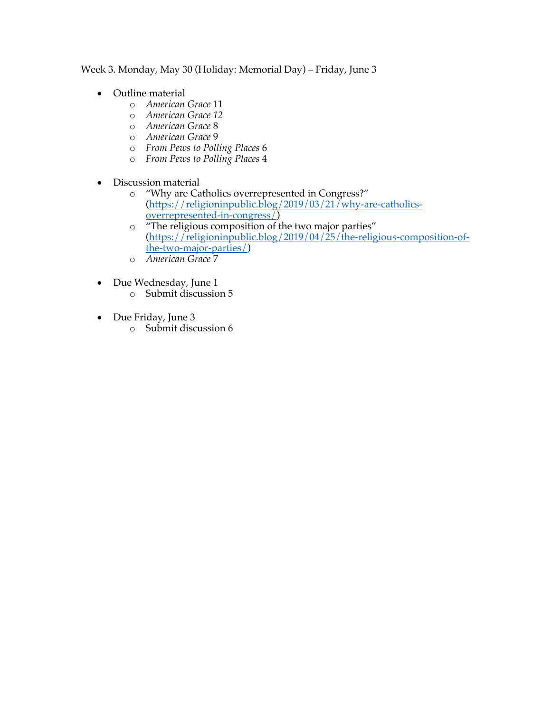Week 3. Monday, May 30 (Holiday: Memorial Day) – Friday, June 3

- Outline material
	- o *American Grace* 11
	- o *American Grace 12*
	- o *American Grace* 8
	- o *American Grace* 9
	- o *From Pews to Polling Places* 6
	- o *From Pews to Polling Places* 4
- Discussion material
	- o "Why are Catholics overrepresented in Congress?" (https://religioninpublic.blog/2019/03/21/why-are-catholicsoverrepresented-in-congress/)
	- o "The religious composition of the two major parties" (https://religioninpublic.blog/2019/04/25/the-religious-composition-ofthe-two-major-parties/)
	- o *American Grace* 7
- Due Wednesday, June 1
	- o Submit discussion 5
- Due Friday, June 3
	- o Submit discussion 6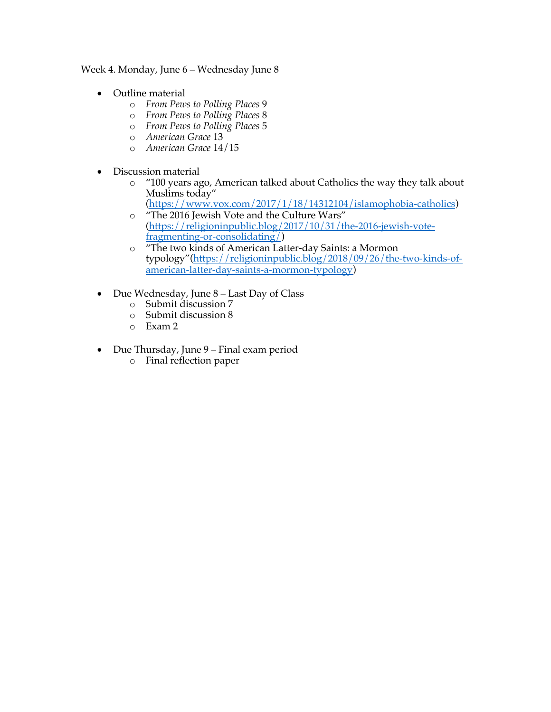Week 4. Monday, June 6 – Wednesday June 8

- Outline material
	- o *From Pews to Polling Places* 9
	- o *From Pews to Polling Places* 8
	- o *From Pews to Polling Places* 5
	- o *American Grace* 13
	- o *American Grace* 14/15
- Discussion material
	- o "100 years ago, American talked about Catholics the way they talk about Muslims today"
		- (https://www.vox.com/2017/1/18/14312104/islamophobia-catholics)
	- o "The 2016 Jewish Vote and the Culture Wars" (https://religioninpublic.blog/2017/10/31/the-2016-jewish-votefragmenting-or-consolidating/)
	- o "The two kinds of American Latter-day Saints: a Mormon typology"(https://religioninpublic.blog/2018/09/26/the-two-kinds-ofamerican-latter-day-saints-a-mormon-typology)
- Due Wednesday, June 8 Last Day of Class
	- o Submit discussion 7
	- o Submit discussion 8
	- o Exam 2
- Due Thursday, June 9 Final exam period
	- o Final reflection paper